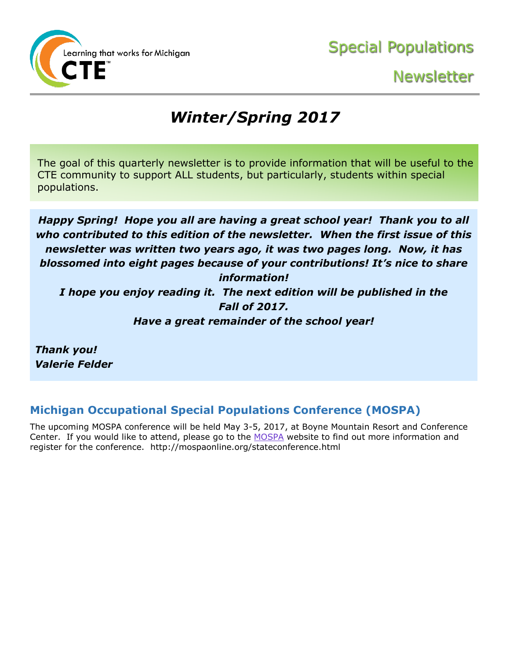

# *Winter/Spring 2017*

The goal of this quarterly newsletter is to provide information that will be useful to the CTE community to support ALL students, but particularly, students within special populations.

*Happy Spring! Hope you all are having a great school year! Thank you to all who contributed to this edition of the newsletter. When the first issue of this newsletter was written two years ago, it was two pages long. Now, it has blossomed into eight pages because of your contributions! It's nice to share information! I hope you enjoy reading it. The next edition will be published in the Fall of 2017. Have a great remainder of the school year!*

*Thank you! Valerie Felder*

### **Michigan Occupational Special Populations Conference (MOSPA)**

The upcoming MOSPA conference will be held May 3-5, 2017, at Boyne Mountain Resort and Conference Center. If you would like to attend, please go to the [MOSPA](http://mospaonline.org/stateconference.html) website to find out more information and register for the conference. http://mospaonline.org/stateconference.html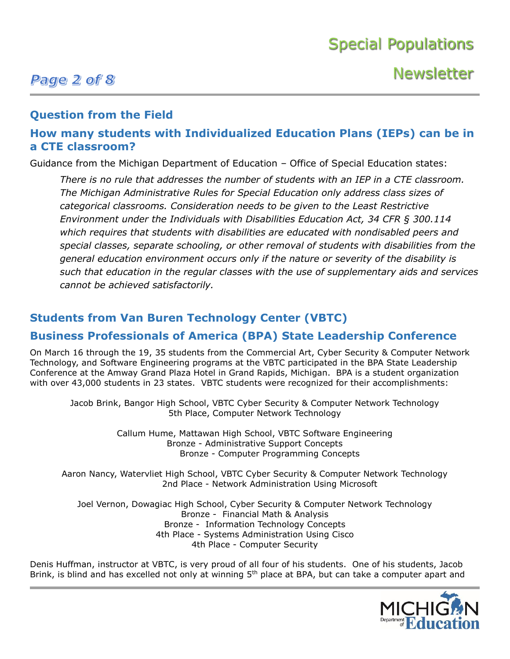### Page 2 of 8

**Newsletter** 

### **Question from the Field**

### **How many students with Individualized Education Plans (IEPs) can be in a CTE classroom?**

Guidance from the Michigan Department of Education – Office of Special Education states:

*There is no rule that addresses the number of students with an IEP in a CTE classroom. The Michigan Administrative Rules for Special Education only address class sizes of categorical classrooms. Consideration needs to be given to the Least Restrictive Environment under the Individuals with Disabilities Education Act, 34 CFR § 300.114 which requires that students with disabilities are educated with nondisabled peers and special classes, separate schooling, or other removal of students with disabilities from the general education environment occurs only if the nature or severity of the disability is such that education in the regular classes with the use of supplementary aids and services cannot be achieved satisfactorily.*

### **Students from Van Buren Technology Center (VBTC)**

### **Business Professionals of America (BPA) State Leadership Conference**

On March 16 through the 19, 35 students from the Commercial Art, Cyber Security & Computer Network Technology, and Software Engineering programs at the VBTC participated in the BPA State Leadership Conference at the Amway Grand Plaza Hotel in Grand Rapids, Michigan. BPA is a student organization with over 43,000 students in 23 states. VBTC students were recognized for their accomplishments:

Jacob Brink, Bangor High School, VBTC Cyber Security & Computer Network Technology 5th Place, Computer Network Technology

> Callum Hume, Mattawan High School, VBTC Software Engineering Bronze - Administrative Support Concepts Bronze - Computer Programming Concepts

Aaron Nancy, Watervliet High School, VBTC Cyber Security & Computer Network Technology 2nd Place - Network Administration Using Microsoft

Joel Vernon, Dowagiac High School, Cyber Security & Computer Network Technology Bronze - Financial Math & Analysis Bronze - Information Technology Concepts 4th Place - Systems Administration Using Cisco 4th Place - Computer Security

Denis Huffman, instructor at VBTC, is very proud of all four of his students. One of his students, Jacob Brink, is blind and has excelled not only at winning 5<sup>th</sup> place at BPA, but can take a computer apart and

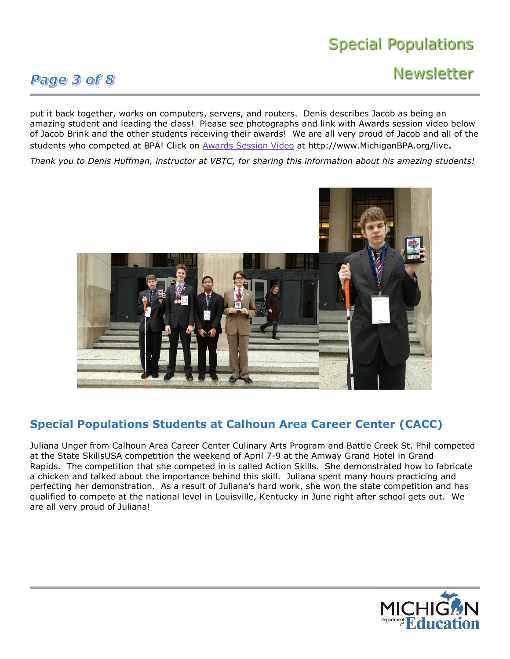### Page 3 of 8

## **Newsletter**

put it back together, works on computers, servers, and routers. Denis describes Jacob as being an amazing student and leading the class! Please see photographs and link with Awards session video below of Jacob Brink and the other students receiving their awards! We are all very proud of Jacob and all of the students who competed at BPA! Click on [Awards Session Video](http://www.michiganbpa.org/live) at http://www.MichiganBPA.org/live.

*Thank you to Denis Huffman, instructor at VBTC, for sharing this information about his amazing students!*



### **Special Populations Students at Calhoun Area Career Center (CACC)**

Juliana Unger from Calhoun Area Career Center Culinary Arts Program and Battle Creek St. Phil competed at the State SkillsUSA competition the weekend of April 7-9 at the Amway Grand Hotel in Grand Rapids. The competition that she competed in is called Action Skills. She demonstrated how to fabricate a chicken and talked about the importance behind this skill. Juliana spent many hours practicing and perfecting her demonstration. As a result of Juliana's hard work, she won the state competition and has qualified to compete at the national level in Louisville, Kentucky in June right after school gets out. We are all very proud of Juliana!

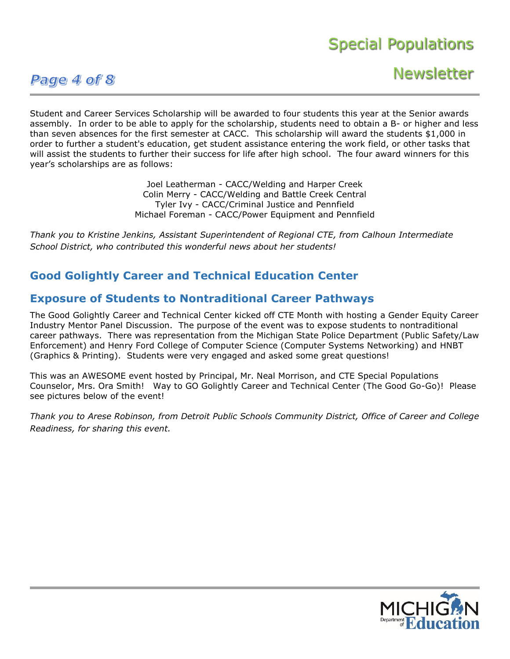### Page 4 of 8

**Newsletter** 

Student and Career Services Scholarship will be awarded to four students this year at the Senior awards assembly. In order to be able to apply for the scholarship, students need to obtain a B- or higher and less than seven absences for the first semester at CACC. This scholarship will award the students \$1,000 in order to further a student's education, get student assistance entering the work field, or other tasks that will assist the students to further their success for life after high school. The four award winners for this year's scholarships are as follows:

> Joel Leatherman - CACC/Welding and Harper Creek Colin Merry - CACC/Welding and Battle Creek Central Tyler Ivy - CACC/Criminal Justice and Pennfield Michael Foreman - CACC/Power Equipment and Pennfield

*Thank you to Kristine Jenkins, Assistant Superintendent of Regional CTE, from Calhoun Intermediate School District, who contributed this wonderful news about her students!*

### **Good Golightly Career and Technical Education Center**

### **Exposure of Students to Nontraditional Career Pathways**

The Good Golightly Career and Technical Center kicked off CTE Month with hosting a Gender Equity Career Industry Mentor Panel Discussion. The purpose of the event was to expose students to nontraditional career pathways. There was representation from the Michigan State Police Department (Public Safety/Law Enforcement) and Henry Ford College of Computer Science (Computer Systems Networking) and HNBT (Graphics & Printing). Students were very engaged and asked some great questions!

This was an AWESOME event hosted by Principal, Mr. Neal Morrison, and CTE Special Populations Counselor, Mrs. Ora Smith! Way to GO Golightly Career and Technical Center (The Good Go-Go)! Please see pictures below of the event!

*Thank you to Arese Robinson, from Detroit Public Schools Community District, Office of Career and College Readiness, for sharing this event.*

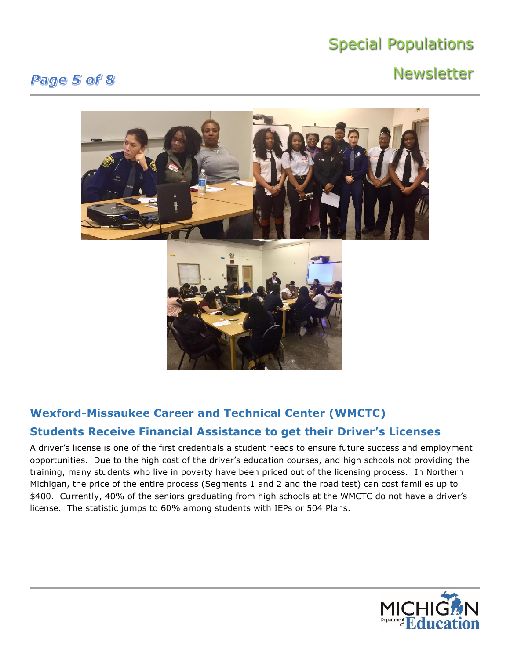## **Newsletter**

### Page 5 of 8



### **Wexford-Missaukee Career and Technical Center (WMCTC) Students Receive Financial Assistance to get their Driver's Licenses**

A driver's license is one of the first credentials a student needs to ensure future success and employment opportunities. Due to the high cost of the driver's education courses, and high schools not providing the training, many students who live in poverty have been priced out of the licensing process. In Northern Michigan, the price of the entire process (Segments 1 and 2 and the road test) can cost families up to \$400. Currently, 40% of the seniors graduating from high schools at the WMCTC do not have a driver's license. The statistic jumps to 60% among students with IEPs or 504 Plans.

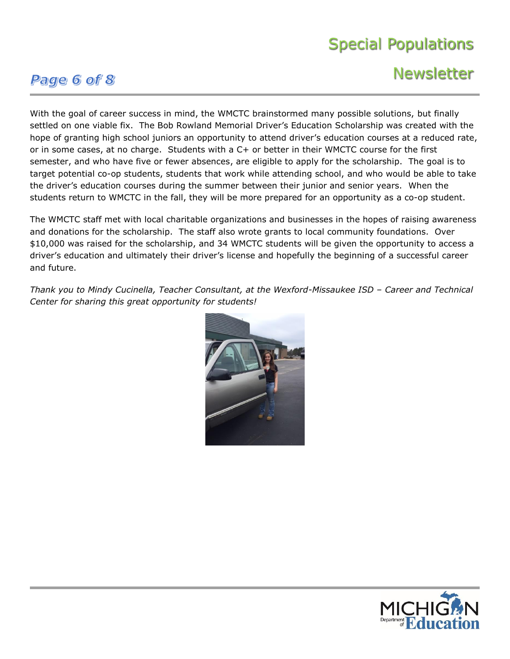### Page 6 of 8

## **Newsletter**

With the goal of career success in mind, the WMCTC brainstormed many possible solutions, but finally settled on one viable fix. The Bob Rowland Memorial Driver's Education Scholarship was created with the hope of granting high school juniors an opportunity to attend driver's education courses at a reduced rate, or in some cases, at no charge. Students with a C+ or better in their WMCTC course for the first semester, and who have five or fewer absences, are eligible to apply for the scholarship. The goal is to target potential co-op students, students that work while attending school, and who would be able to take the driver's education courses during the summer between their junior and senior years. When the students return to WMCTC in the fall, they will be more prepared for an opportunity as a co-op student.

The WMCTC staff met with local charitable organizations and businesses in the hopes of raising awareness and donations for the scholarship. The staff also wrote grants to local community foundations. Over \$10,000 was raised for the scholarship, and 34 WMCTC students will be given the opportunity to access a driver's education and ultimately their driver's license and hopefully the beginning of a successful career and future.

*Thank you to Mindy Cucinella, Teacher Consultant, at the Wexford-Missaukee ISD – Career and Technical Center for sharing this great opportunity for students!*



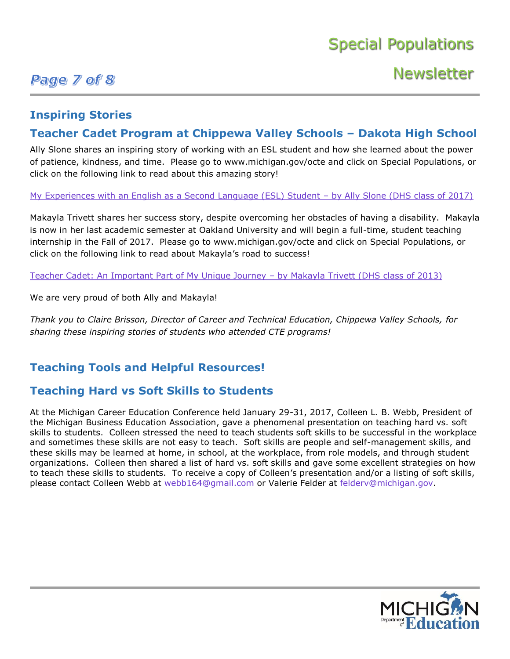### Page 7 of 8

## **Newsletter**

### **Inspiring Stories**

### **Teacher Cadet Program at Chippewa Valley Schools – Dakota High School**

Ally Slone shares an inspiring story of working with an ESL student and how she learned about the power of patience, kindness, and time. Please go to www.michigan.gov/octe and click on Special Populations, or click on the following link to read about this amazing story!

[My Experiences with an English as a Second Language \(ESL\) Student –](http://www.michigan.gov/documents/mde/My_Experiences_with_an_English_as_a_Second_Language_ESL_Student__by_Ally_Slone_DHS_class_of_2017_558776_7.pdf) by Ally Slone (DHS class of 2017)

Makayla Trivett shares her success story, despite overcoming her obstacles of having a disability. Makayla is now in her last academic semester at Oakland University and will begin a full-time, student teaching internship in the Fall of 2017. Please go to www.michigan.gov/octe and click on Special Populations, or click on the following link to read about Makayla's road to success!

[Teacher Cadet: An Important Part of My Unique Journey –](http://www.michigan.gov/documents/mde/Teacher_Cadet_An_Important_Part_of_My_Unique_Journey__by_Makayla_Trivett_DHS_class_of_2013_2_558778_7.pdf) by Makayla Trivett (DHS class of 2013)

We are very proud of both Ally and Makayla!

*Thank you to Claire Brisson, Director of Career and Technical Education, Chippewa Valley Schools, for sharing these inspiring stories of students who attended CTE programs!*

### **Teaching Tools and Helpful Resources!**

### **Teaching Hard vs Soft Skills to Students**

At the Michigan Career Education Conference held January 29-31, 2017, Colleen L. B. Webb, President of the Michigan Business Education Association, gave a phenomenal presentation on teaching hard vs. soft skills to students. Colleen stressed the need to teach students soft skills to be successful in the workplace and sometimes these skills are not easy to teach. Soft skills are people and self-management skills, and these skills may be learned at home, in school, at the workplace, from role models, and through student organizations. Colleen then shared a list of hard vs. soft skills and gave some excellent strategies on how to teach these skills to students. To receive a copy of Colleen's presentation and/or a listing of soft skills, please contact Colleen Webb at [webb164@gmail.com](mailto:webb164@gmail.com) or Valerie Felder at [felderv@michigan.gov.](mailto:felderv@michigan.gov)